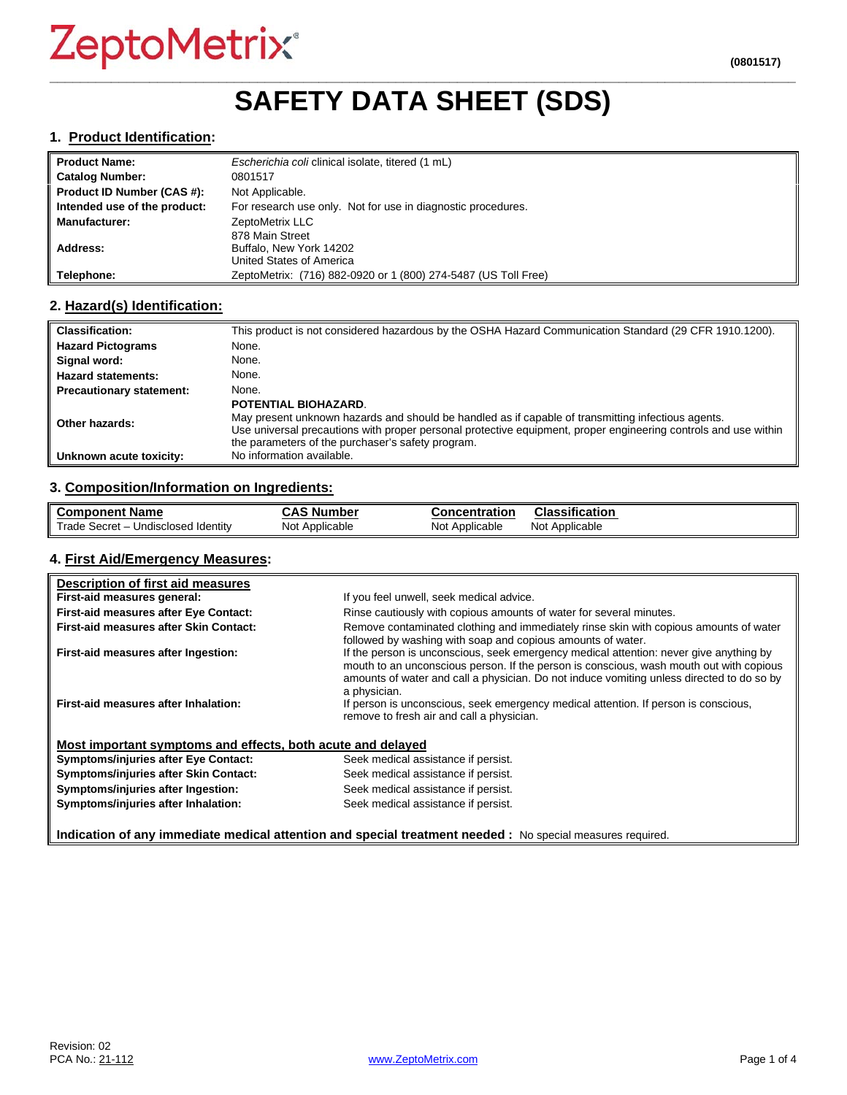## **\_\_\_\_\_\_\_\_\_\_\_\_\_\_\_\_\_\_\_\_\_\_\_\_\_\_\_\_\_\_\_\_\_\_\_\_\_\_\_\_\_\_\_\_\_\_\_\_\_\_\_\_\_\_\_\_\_\_\_\_\_\_\_\_\_\_\_\_\_\_\_\_\_\_\_\_\_\_\_\_\_\_\_\_\_\_\_\_\_\_\_\_\_\_\_\_\_ SAFETY DATA SHEET (SDS)**

#### **1. Product Identification:**

| <b>Product Name:</b>         | Escherichia coli clinical isolate, titered (1 mL)              |  |
|------------------------------|----------------------------------------------------------------|--|
| <b>Catalog Number:</b>       | 0801517                                                        |  |
| Product ID Number (CAS #):   | Not Applicable.                                                |  |
| Intended use of the product: | For research use only. Not for use in diagnostic procedures.   |  |
| <b>Manufacturer:</b>         | ZeptoMetrix LLC                                                |  |
|                              | 878 Main Street                                                |  |
| Address:                     | Buffalo, New York 14202                                        |  |
|                              | United States of America                                       |  |
| Telephone:                   | ZeptoMetrix: (716) 882-0920 or 1 (800) 274-5487 (US Toll Free) |  |

## **2. Hazard(s) Identification:**

| <b>Classification:</b>          | This product is not considered hazardous by the OSHA Hazard Communication Standard (29 CFR 1910.1200).                                                                                                                                                                                             |
|---------------------------------|----------------------------------------------------------------------------------------------------------------------------------------------------------------------------------------------------------------------------------------------------------------------------------------------------|
| <b>Hazard Pictograms</b>        | None.                                                                                                                                                                                                                                                                                              |
| Signal word:                    | None.                                                                                                                                                                                                                                                                                              |
| <b>Hazard statements:</b>       | None.                                                                                                                                                                                                                                                                                              |
| <b>Precautionary statement:</b> | None.                                                                                                                                                                                                                                                                                              |
| Other hazards:                  | POTENTIAL BIOHAZARD.<br>May present unknown hazards and should be handled as if capable of transmitting infectious agents.<br>Use universal precautions with proper personal protective equipment, proper engineering controls and use within<br>the parameters of the purchaser's safety program. |
| Unknown acute toxicity:         | No information available.                                                                                                                                                                                                                                                                          |

## **3. Composition/Information on Ingredients:**

| <b>Component Name</b>                           | $\overline{\phantom{a}}$<br>, Number<br>л,<br>M∾ | Concentration       | <b>Classification</b> |
|-------------------------------------------------|--------------------------------------------------|---------------------|-----------------------|
| Trade<br>Undisclosed Identity<br>: Secret<br>-- | Not Applicable                                   | Not .<br>Applicable | Not .<br>Applicable   |

#### **4. First Aid/Emergency Measures:**

| Description of first aid measures                           |                                                                                                                                                                                                                                                                                                |
|-------------------------------------------------------------|------------------------------------------------------------------------------------------------------------------------------------------------------------------------------------------------------------------------------------------------------------------------------------------------|
| First-aid measures general:                                 | If you feel unwell, seek medical advice.                                                                                                                                                                                                                                                       |
| First-aid measures after Eye Contact:                       | Rinse cautiously with copious amounts of water for several minutes.                                                                                                                                                                                                                            |
| First-aid measures after Skin Contact:                      | Remove contaminated clothing and immediately rinse skin with copious amounts of water<br>followed by washing with soap and copious amounts of water.                                                                                                                                           |
| First-aid measures after Ingestion:                         | If the person is unconscious, seek emergency medical attention: never give anything by<br>mouth to an unconscious person. If the person is conscious, wash mouth out with copious<br>amounts of water and call a physician. Do not induce vomiting unless directed to do so by<br>a physician. |
| First-aid measures after Inhalation:                        | If person is unconscious, seek emergency medical attention. If person is conscious,<br>remove to fresh air and call a physician.                                                                                                                                                               |
| Most important symptoms and effects, both acute and delayed |                                                                                                                                                                                                                                                                                                |
| <b>Symptoms/injuries after Eye Contact:</b>                 | Seek medical assistance if persist.                                                                                                                                                                                                                                                            |
| Symptoms/injuries after Skin Contact:                       | Seek medical assistance if persist.                                                                                                                                                                                                                                                            |
| Symptoms/injuries after Ingestion:                          | Seek medical assistance if persist.                                                                                                                                                                                                                                                            |
| Symptoms/injuries after Inhalation:                         | Seek medical assistance if persist.                                                                                                                                                                                                                                                            |
|                                                             | Indication of any immediate medical attention and special treatment needed : No special measures required.                                                                                                                                                                                     |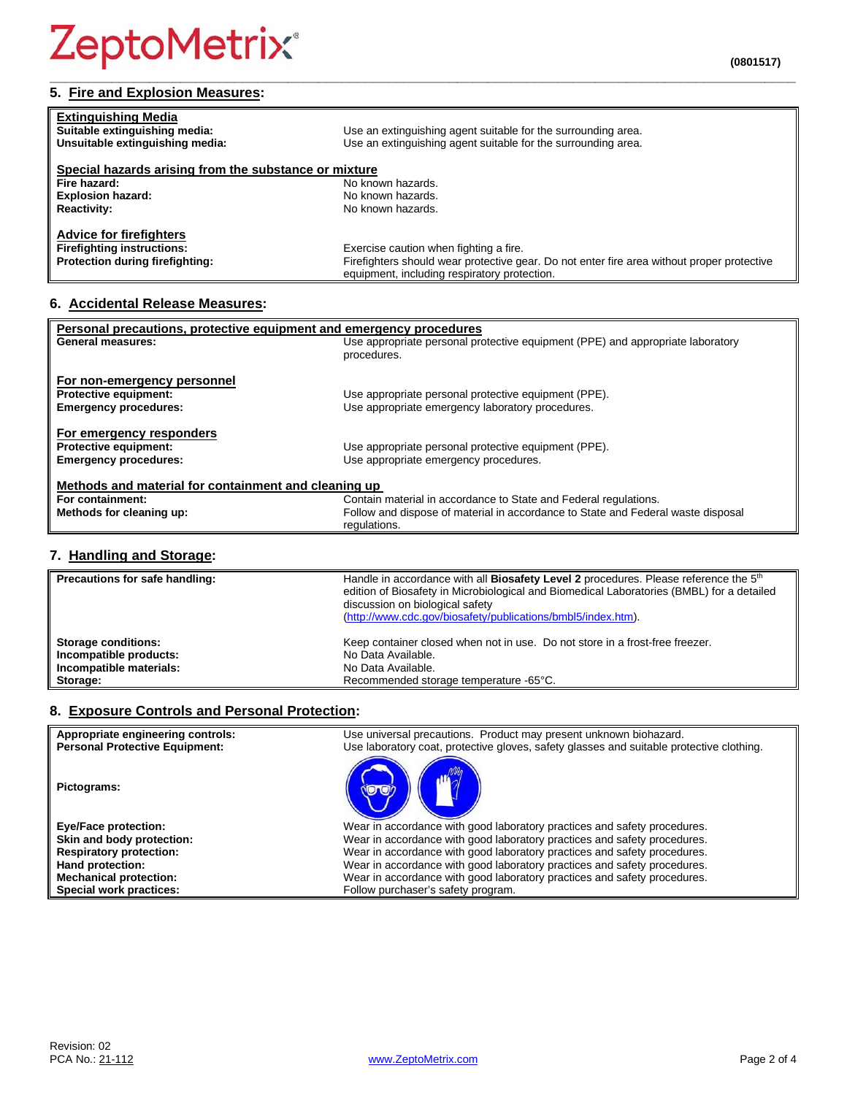#### **\_\_\_\_\_\_\_\_\_\_\_\_\_\_\_\_\_\_\_\_\_\_\_\_\_\_\_\_\_\_\_\_\_\_\_\_\_\_\_\_\_\_\_\_\_\_\_\_\_\_\_\_\_\_\_\_\_\_\_\_\_\_\_\_\_\_\_\_\_\_\_\_\_\_\_\_\_\_\_\_\_\_\_\_\_\_\_\_\_\_\_\_\_\_\_\_\_ 5. Fire and Explosion Measures:**

| <b>Extinguishing Media</b><br>Suitable extinguishing media:<br>Unsuitable extinguishing media: | Use an extinguishing agent suitable for the surrounding area.<br>Use an extinguishing agent suitable for the surrounding area. |
|------------------------------------------------------------------------------------------------|--------------------------------------------------------------------------------------------------------------------------------|
| Special hazards arising from the substance or mixture                                          |                                                                                                                                |
| Fire hazard:                                                                                   | No known hazards.                                                                                                              |
| <b>Explosion hazard:</b>                                                                       | No known hazards.                                                                                                              |
| <b>Reactivity:</b>                                                                             | No known hazards.                                                                                                              |
| <b>Advice for firefighters</b>                                                                 |                                                                                                                                |
| <b>Firefighting instructions:</b>                                                              | Exercise caution when fighting a fire.                                                                                         |
| Protection during firefighting:                                                                | Firefighters should wear protective gear. Do not enter fire area without proper protective                                     |
|                                                                                                | equipment, including respiratory protection.                                                                                   |

## **6. Accidental Release Measures:**

| Personal precautions, protective equipment and emergency procedures |                                                                                  |  |
|---------------------------------------------------------------------|----------------------------------------------------------------------------------|--|
| <b>General measures:</b>                                            | Use appropriate personal protective equipment (PPE) and appropriate laboratory   |  |
|                                                                     | procedures.                                                                      |  |
|                                                                     |                                                                                  |  |
| For non-emergency personnel                                         |                                                                                  |  |
| <b>Protective equipment:</b>                                        | Use appropriate personal protective equipment (PPE).                             |  |
| <b>Emergency procedures:</b>                                        | Use appropriate emergency laboratory procedures.                                 |  |
|                                                                     |                                                                                  |  |
| For emergency responders                                            |                                                                                  |  |
| <b>Protective equipment:</b>                                        | Use appropriate personal protective equipment (PPE).                             |  |
|                                                                     |                                                                                  |  |
| <b>Emergency procedures:</b>                                        | Use appropriate emergency procedures.                                            |  |
|                                                                     |                                                                                  |  |
| Methods and material for containment and cleaning up                |                                                                                  |  |
| For containment:                                                    | Contain material in accordance to State and Federal regulations.                 |  |
| Methods for cleaning up:                                            | Follow and dispose of material in accordance to State and Federal waste disposal |  |
|                                                                     | regulations.                                                                     |  |

## **7. Handling and Storage:**

| Precautions for safe handling: | Handle in accordance with all <b>Biosafety Level 2</b> procedures. Please reference the 5 <sup>th</sup><br>edition of Biosafety in Microbiological and Biomedical Laboratories (BMBL) for a detailed<br>discussion on biological safety<br>(http://www.cdc.gov/biosafety/publications/bmbl5/index.htm). |
|--------------------------------|---------------------------------------------------------------------------------------------------------------------------------------------------------------------------------------------------------------------------------------------------------------------------------------------------------|
| <b>Storage conditions:</b>     | Keep container closed when not in use. Do not store in a frost-free freezer.                                                                                                                                                                                                                            |
| Incompatible products:         | No Data Available.                                                                                                                                                                                                                                                                                      |
| Incompatible materials:        | No Data Available.                                                                                                                                                                                                                                                                                      |
| Storage:                       | Recommended storage temperature -65°C.                                                                                                                                                                                                                                                                  |

## **8. Exposure Controls and Personal Protection:**

| Appropriate engineering controls:     | Use universal precautions. Product may present unknown biohazard.                        |
|---------------------------------------|------------------------------------------------------------------------------------------|
| <b>Personal Protective Equipment:</b> | Use laboratory coat, protective gloves, safety glasses and suitable protective clothing. |
| Pictograms:                           |                                                                                          |
| <b>Eye/Face protection:</b>           | Wear in accordance with good laboratory practices and safety procedures.                 |
| Skin and body protection:             | Wear in accordance with good laboratory practices and safety procedures.                 |
| <b>Respiratory protection:</b>        | Wear in accordance with good laboratory practices and safety procedures.                 |
| Hand protection:                      | Wear in accordance with good laboratory practices and safety procedures.                 |
| <b>Mechanical protection:</b>         | Wear in accordance with good laboratory practices and safety procedures.                 |
| Special work practices:               | Follow purchaser's safety program.                                                       |
|                                       |                                                                                          |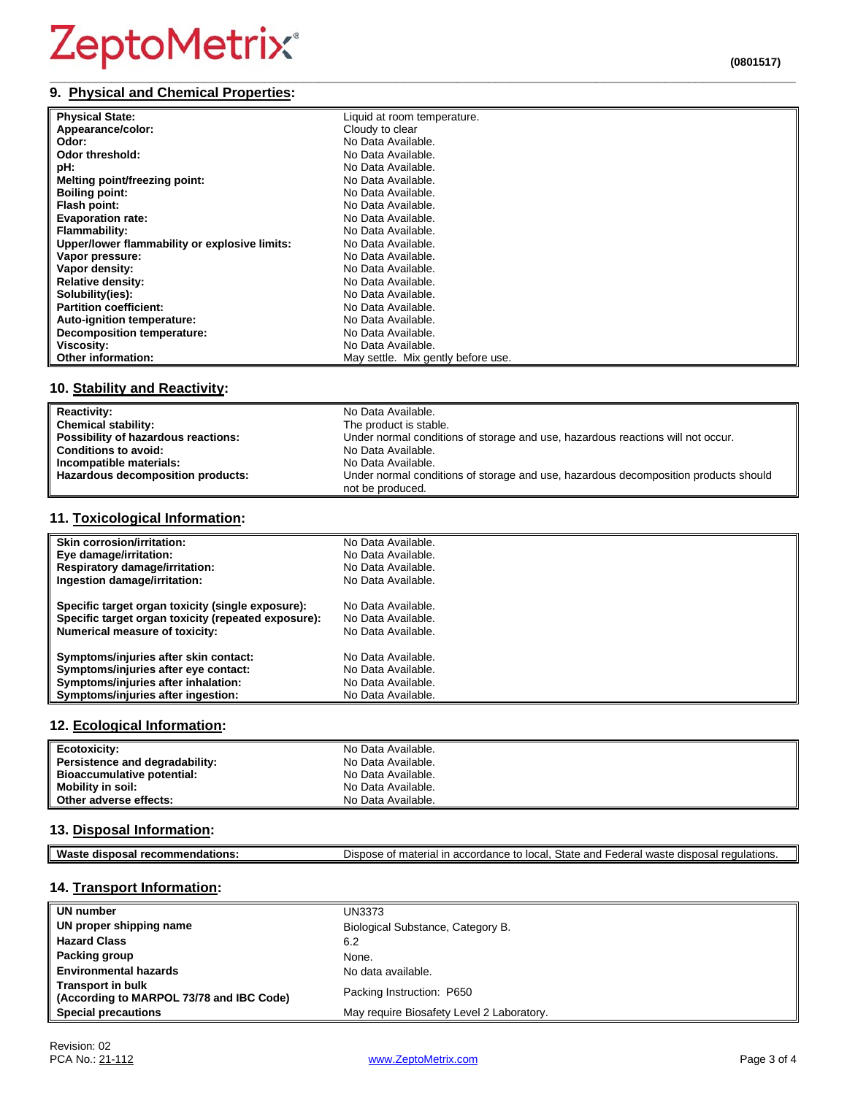#### **\_\_\_\_\_\_\_\_\_\_\_\_\_\_\_\_\_\_\_\_\_\_\_\_\_\_\_\_\_\_\_\_\_\_\_\_\_\_\_\_\_\_\_\_\_\_\_\_\_\_\_\_\_\_\_\_\_\_\_\_\_\_\_\_\_\_\_\_\_\_\_\_\_\_\_\_\_\_\_\_\_\_\_\_\_\_\_\_\_\_\_\_\_\_\_\_\_ 9. Physical and Chemical Properties:**

| <b>Physical State:</b>                        | Liquid at room temperature.        |
|-----------------------------------------------|------------------------------------|
| Appearance/color:                             | Cloudy to clear                    |
| Odor:                                         | No Data Available.                 |
| Odor threshold:                               | No Data Available.                 |
| pH:                                           | No Data Available.                 |
| Melting point/freezing point:                 | No Data Available.                 |
| <b>Boiling point:</b>                         | No Data Available.                 |
| Flash point:                                  | No Data Available.                 |
| <b>Evaporation rate:</b>                      | No Data Available.                 |
| Flammability:                                 | No Data Available.                 |
| Upper/lower flammability or explosive limits: | No Data Available.                 |
| Vapor pressure:                               | No Data Available.                 |
| Vapor density:                                | No Data Available.                 |
| Relative density:                             | No Data Available.                 |
| Solubility(ies):                              | No Data Available.                 |
| <b>Partition coefficient:</b>                 | No Data Available.                 |
| Auto-ignition temperature:                    | No Data Available.                 |
| <b>Decomposition temperature:</b>             | No Data Available.                 |
| Viscosity:                                    | No Data Available.                 |
| <b>Other information:</b>                     | May settle. Mix gently before use. |
|                                               |                                    |

## **10. Stability and Reactivity:**

| <b>Reactivity:</b>                  | No Data Available.                                                                  |
|-------------------------------------|-------------------------------------------------------------------------------------|
| <b>Chemical stability:</b>          | The product is stable.                                                              |
| Possibility of hazardous reactions: | Under normal conditions of storage and use, hazardous reactions will not occur.     |
| <b>Conditions to avoid:</b>         | No Data Available.                                                                  |
| Incompatible materials:             | No Data Available.                                                                  |
| Hazardous decomposition products:   | Under normal conditions of storage and use, hazardous decomposition products should |
|                                     | not be produced.                                                                    |

## **11. Toxicological Information:**

| Skin corrosion/irritation:                          | No Data Available. |
|-----------------------------------------------------|--------------------|
| Eye damage/irritation:                              | No Data Available. |
| <b>Respiratory damage/irritation:</b>               | No Data Available. |
| Ingestion damage/irritation:                        | No Data Available. |
| Specific target organ toxicity (single exposure):   | No Data Available. |
| Specific target organ toxicity (repeated exposure): | No Data Available. |
| <b>Numerical measure of toxicity:</b>               | No Data Available. |
| Symptoms/injuries after skin contact:               | No Data Available. |
| Symptoms/injuries after eye contact:                | No Data Available. |
| Symptoms/injuries after inhalation:                 | No Data Available. |
| Symptoms/injuries after ingestion:                  | No Data Available. |

## **12. Ecological Information:**

| Ecotoxicity:                   | No Data Available. |
|--------------------------------|--------------------|
| Persistence and degradability: | No Data Available. |
| Bioaccumulative potential:     | No Data Available. |
| <b>Mobility in soil:</b>       | No Data Available. |
| Other adverse effects:         | No Data Available. |

## **13. Disposal Information:**

| Waste disposal recommendations:<br>Dispose of material in accordance to local. State and Federal waste disposal regulations. |
|------------------------------------------------------------------------------------------------------------------------------|
|------------------------------------------------------------------------------------------------------------------------------|

## **14. Transport Information:**

| UN number                                                            | <b>UN3373</b>                             |
|----------------------------------------------------------------------|-------------------------------------------|
| UN proper shipping name                                              | Biological Substance, Category B.         |
| <b>Hazard Class</b>                                                  | 6.2                                       |
| Packing group                                                        | None.                                     |
| <b>Environmental hazards</b>                                         | No data available.                        |
| <b>Transport in bulk</b><br>(According to MARPOL 73/78 and IBC Code) | Packing Instruction: P650                 |
| <b>Special precautions</b>                                           | May require Biosafety Level 2 Laboratory. |

╜